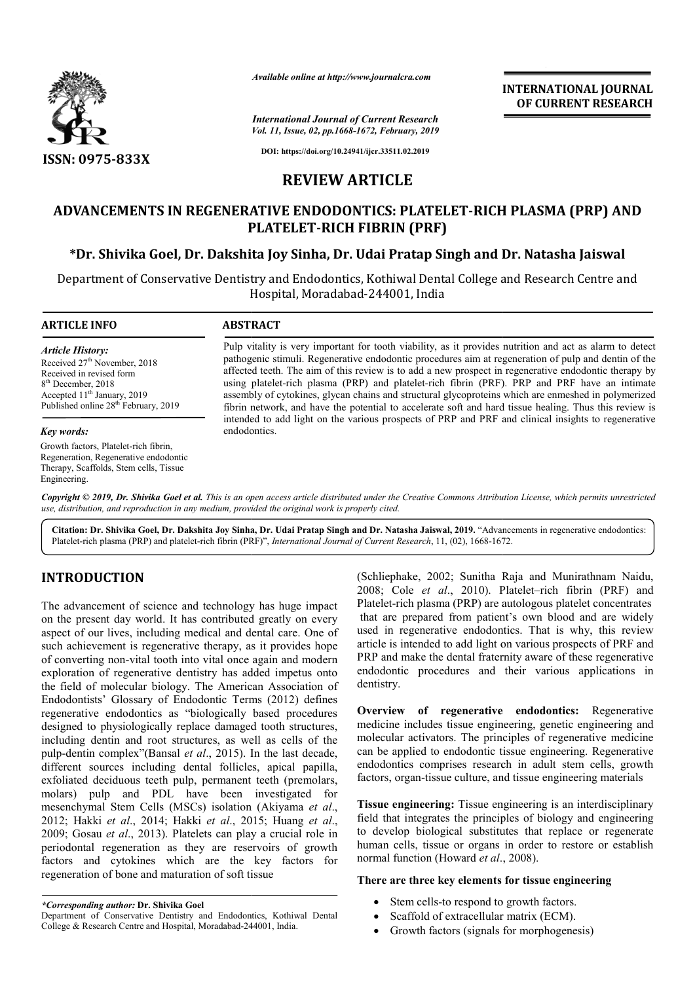

*Available online at http://www.journalcra.com*

*International Journal of Current Research Vol. 11, Issue, 02, pp.1668-1672, February, 2019* **INTERNATIONAL JOURNAL OF CURRENT RESEARCH**

**DOI: https://doi.org/10.24941/ijcr.33511.02.2019**

# **REVIEW ARTICLE**

# **ADVANCEMENTS IN REGENERATIVE ENDODONTICS: PLATELET PLATELET-RICH PLASMA (PRP) AND RICH PLATELET PLATELET-RICH FIBRIN (PRF)**

# **\*Dr. Shivika Goel, Dr. Dakshita Joy Sinha Sinha, Dr. Udai Pratap Singh and Dr. Natasha Jaiswal**

Department of Conservative Dentistry and Endodontics, Kothiwal Dental College and Research Centre and Hospital, Moradabad Moradabad-244001, India

#### **ARTICLE INFO ABSTRACT** Pulp vitality is very important for tooth viability, as it provides nutrition and act as alarm to detect pathogenic stimuli. Regenerative endodontic procedures aim at regeneration of pulp and dentin of the affected teeth. The aim of this review is to add a new prospect in regenerative endodontic therapy by using platelet-rich plasma (PRP) and platelet-rich fibrin (PRF). PRP and PRF have an intimate assembly of cytokines, glycan chains and structural glycoproteins which are enmeshed in polymerized fibrin network, and have the potential to accelerate soft and hard tissue healing. Thus this review is intended to add light on the various prospects of PRP and PRF and clinical insights to regenerative endodontics. *Article History:* Received 27<sup>th</sup> November, 2018 Received in revised form 8<sup>th</sup> December, 2018 Accepted 11<sup>th</sup> January, 2019 Published online 28<sup>th</sup> February, 2019 *Key words:* Pulp vitality is very important for tooth viability, as it provides nutrition and act as alarm to derpathogenic stimuli. Regenerative endodontic procedures aim at regeneration of pulp and dentin of affected teeth. The aim

Growth factors, Platelet-rich fibrin, Regeneration, Regenerative endodontic Therapy, Scaffolds, Stem cells, Tissue Engineering.

Copyright © 2019, Dr. Shivika Goel et al. This is an open access article distributed under the Creative Commons Attribution License, which permits unrestrictea *use, distribution, and reproduction in any medium, provided the original work is properly cited.*

Citation: Dr. Shivika Goel, Dr. Dakshita Joy Sinha, Dr. Udai Pratap Singh and Dr. Natasha Jaiswal, 2019. "Advancements in regenerative endodontics:<br>Platelet-rich plasma (PRP) and platelet-rich fibrin (PRF)", *International* Platelet-rich plasma (PRP) and platelet-rich fibrin (PRF)", *International Journal of Current Research*, 11, (02), 1668-1672

# **INTRODUCTION**

The advancement of science and technology has huge impact on the present day world. It has contributed greatly on every aspect of our lives, including medical and dental care. One of such achievement is regenerative therapy, as it provides hope of converting non-vital tooth into vital once again and modern exploration of regenerative dentistry has added impetus onto the field of molecular biology. The American Association of Endodontists' Glossary of Endodontic Terms (2012) defines regenerative endodontics as "biologically based procedures designed to physiologically replace damaged tooth structures, including dentin and root structures, as well as cells of the pulp-dentin complex"(Bansal *et al*., 2015). In the last decade, different sources including dental follicles, apical papilla, exfoliated deciduous teeth pulp, permanent teeth (premolars, molars) pulp and PDL have been investigated for mesenchymal Stem Cells (MSCs) isolation (Akiyama et al., 2012; Hakki *et al*., 2014; Hakki *et al*., 2015 2015; Huang *et al*., 2009; Gosau *et al*., 2013). Platelets can play a crucial role in periodontal regeneration as they are reservoirs of growth factors and cytokines which are the key factors for regeneration of bone and maturation of soft tissue n-vital tooth into vital once again and modern<br>egenerative dentistry has added impetus onto<br>ecular biology. The American Association of<br>lossary of Endodontic Terms (2012) defines<br>biologically replace damaged tooth structur (Schliephake, 2002; Sunitha Raja<br>
gy has huge impact<br>
2008; Cole *et al.*, 2010). Plate<br>
ed greatly on every<br>
that are prepared from patient's<br>
dental care. One of<br>
used in regenerative endodontics.<br>
as it provides hope<br>

2008; Cole et al., 2010). Platelet–rich fibrin (PRF) and Platelet-rich plasma (PRP) are autologous platelet concentrates that are prepared from patient's own blood and are widely Platelet-rich plasma (PRP) are autologous platelet concentrates<br>that are prepared from patient's own blood and are widely<br>used in regenerative endodontics. That is why, this review article is intended to add light on various prospects of PRF and article is intended to add light on various prospects of PRF and<br>PRP and make the dental fraternity aware of these regenerative endodontic procedures and their various applications in dentistry. (Schliephake, 2002; Sunitha Raja and Munirathnam Naidu,

**Overview of regenerative endodontics:** Regenerative medicine includes tissue engineering, genetic engineering and molecular activators. The principles of regenerative medicine can be applied to endodontic tissue engineering. Regenerative medicine includes tissue engineering, genetic engineering and<br>molecular activators. The principles of regenerative medicine<br>can be applied to endodontic tissue engineering. Regenerative<br>endodontics comprises research in ad factors, organ-tissue culture, and tissue engineering materials

**Tissue engineering:** Tissue engineering is an interdisciplinary field that integrates the principles of biology and engineering to develop biological substitutes that replace or regenerate human cells, tissue or organs in order to restore or establish normal function (Howard *et al*., 2008 **Example 21 Engineering:** Tissue engineering is an interdisciplinary ield that integrates the principles of biology and engineering o develop biological substitutes that replace or regenerate uman cells, tissue or organ

# **There are three key elements for tissue engineering ements**

- Stem cells-to respond to growth factors.
- Stem cells-to respond to growth factors<br>• Scaffold of extracellular matrix (ECM).
- Growth factors (signals for morphogenesis)

*<sup>\*</sup>Corresponding author:* **Dr. Shivika Goel**

Department of Conservative Dentistry and Endodontics, Kothiwal Dental College & Research Centre and Hospital, Moradabad-244001, India.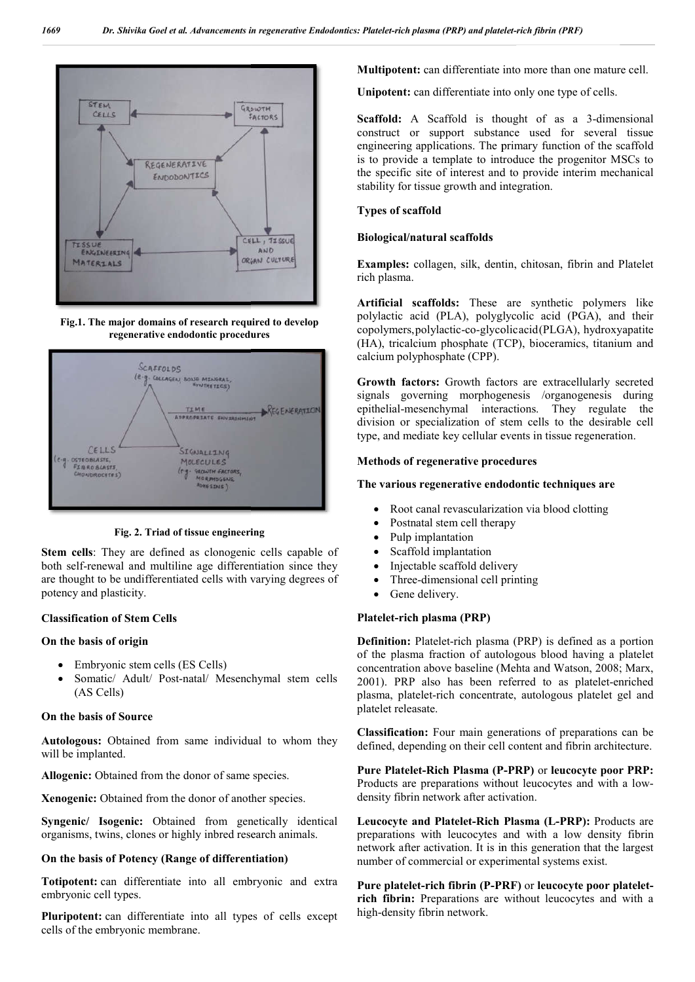

**Fig.1. The major domains of research required to develop regenerative endodontic procedures**



**Fig. 2. Triad of tissue engineering**

**Stem cells**: They are defined as clonogenic cells capable of both self-renewal and multiline age differentiation since they are thought to be undifferentiated cells with varying degrees of potency and plasticity.

# **Classification of Stem Cells**

# **On the basis of origin**

- Embryonic stem cells (ES Cells)
- Somatic/ Adult/ Post-natal/ Mesenchymal stem cells (AS Cells)

#### **On the basis of Source**

**Autologous:** Obtained from same individual to whom they will be implanted.

**Allogenic:** Obtained from the donor of same species.

**Xenogenic:** Obtained from the donor of another species.

**Syngenic/ Isogenic:** Obtained from genetically identical organisms, twins, clones or highly inbred research animals.

#### **On the basis of Potency (Range of differentiation)**

**Totipotent:** can differentiate into all embryonic and extra embryonic cell types.

**Pluripotent:** can differentiate into all types of cells except cells of the embryonic membrane.

**Unipotent:** can differentiate into only one type of cells.

**Multipotent:** can differentiate into more than one mature cell.<br> **Unipotent:** can differentiate into only one type of cells.<br> **Scaffold:** A Scaffold is thought of as a 3-dimensional construct or support substance used for several tissue engineering applications. The primary function of the scaffold is to provide a template to introduce the progenitor MSCs to the specific site of interest and to provide interim mechanical stability for tissue growth and integration. ruct or support substance used<br>heering applications. The primary fur-<br>provide a template to introduce the<br>pecific site of interest and to provid-<br>ity for tissue growth and integration.

# **Types of scaffold**

#### **Biological/natural scaffolds**

**Examples:** collagen, silk, dentin, chitosan, fibrin and Platelet rich plasma.

**Artificial scaffolds:** These are synthetic polymers like polylactic acid (PLA), polyglycolic copolymers, polylactic-co-glycolicacid (PLGA), hydroxyapatite (HA), tricalcium phosphate (TCP), bioceramics, titanium and calcium polyphosphate (CPP). collagen, silk, dentin, chitosan, fibrin and Platelet<br>
1.<br> **scaffolds:** These are synthetic polymers like<br>
acid (PLA), polyglycolic acid (PGA), and their

**Growth factors:** Growth factors are extracellularly secreted signals governing morphogenesis /organogenesis during epithelial-mesenchymal interactions. They regulate the (HA), tricalcium phosphate (TCP), bioceramics, titanium and calcium polyphosphate (CPP).<br> **Growth factors:** Growth factors are extracellularly secreted<br>
signals governing morphogenesis /organogenesis during<br>
epithelial-mes type, and mediate key cellular events in tissue regeneration.

# **Methods of regenerative procedures ethods regenerative procedures**

#### **The various regenerative endodontic techniques are**

- Root canal revascularization via blood clotting
- Postnatal stem cell therapy
- Pulp implantation
- Scaffold implantation
- Injectable scaffold delivery
- Three-dimensional cell printing
- Gene delivery.

# **Platelet-rich plasma (PRP)**

**Definition:** Platelet-rich plasma (PRP) is defined as a portion of the plasma fraction of autologous blood having a platelet • Three-dimensional cell printing<br>
• Gene delivery.<br> **Platelet-rich plasma (PRP)** is defined as a portion<br>
of the plasma fraction of autologous blood having a platelet<br>
concentration above baseline (Mehta and Watson, 2008; 2001). PRP also has been referred to as platelet-enriched plasma, platelet-rich concentrate, autologous platelet gel and platelet releasate.

**Classification:** Four main generations of preparations can be defined, depending on their cell content and fibrin architecture. rich concentrate, autologous platelet gel and<br>Four main generations of preparations can be<br>ng on their cell content and fibrin architecture.

Pure Platelet-Rich Plasma (P-PRP) or leucocyte poor PRP: Products are preparations without leucocytes and with a lowdensity fibrin network after activation.

Leucocyte and Platelet-Rich Plasma (L-PRP): Products are preparations with leucocytes and with a low density fibrin network after activation. It is in this generation that the largest number of commercial or experimental systems exist. leux is with leucocytes and with a low density<br>ter activation. It is in this generation that the l<br>commercial or experimental systems exist.

Pure platelet-rich fibrin (P-PRF) or leucocyte poor platelet**rich fibrin:** Preparations are without leucocytes and with a high-density fibrin network.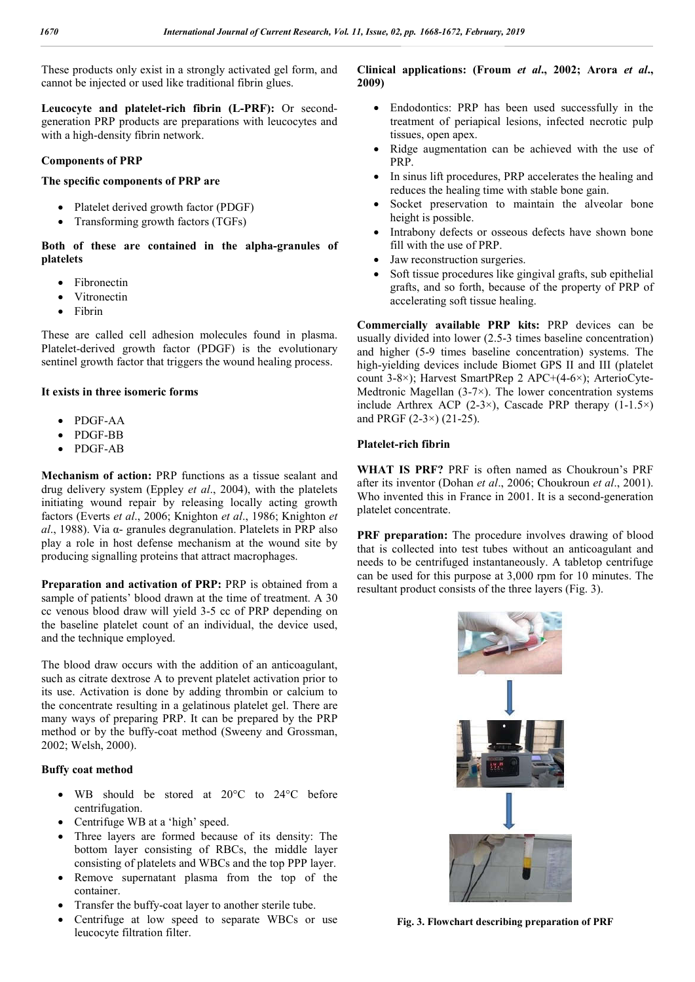These products only exist in a strongly activated gel form, and cannot be injected or used like traditional fibrin glues.

**Leucocyte and platelet-rich fibrin (L-PRF):** Or secondgeneration PRP products are preparations with leucocytes and with a high-density fibrin network.

#### **Components of PRP**

#### **The specific components of PRP are**

- Platelet derived growth factor (PDGF)
- Transforming growth factors (TGFs)

#### **Both of these are contained in the alpha-granules of platelets**

- Fibronectin
- Vitronectin
- Fibrin

These are called cell adhesion molecules found in plasma. Platelet-derived growth factor (PDGF) is the evolutionary sentinel growth factor that triggers the wound healing process.

#### **It exists in three isomeric forms**

- PDGF-AA
- PDGF-BB
- PDGF-AB

**Mechanism of action:** PRP functions as a tissue sealant and drug delivery system (Eppley *et al*., 2004), with the platelets initiating wound repair by releasing locally acting growth factors (Everts *et al*., 2006; Knighton *et al*., 1986; Knighton *et al*., 1988). Via α- granules degranulation. Platelets in PRP also play a role in host defense mechanism at the wound site by producing signalling proteins that attract macrophages.

**Preparation and activation of PRP:** PRP is obtained from a sample of patients' blood drawn at the time of treatment. A 30 cc venous blood draw will yield 3-5 cc of PRP depending on the baseline platelet count of an individual, the device used, and the technique employed.

The blood draw occurs with the addition of an anticoagulant, such as citrate dextrose A to prevent platelet activation prior to its use. Activation is done by adding thrombin or calcium to the concentrate resulting in a gelatinous platelet gel. There are many ways of preparing PRP. It can be prepared by the PRP method or by the buffy-coat method (Sweeny and Grossman, 2002; Welsh, 2000).

# **Buffy coat method**

- WB should be stored at 20°C to 24°C before centrifugation.
- Centrifuge WB at a 'high' speed.
- Three layers are formed because of its density: The bottom layer consisting of RBCs, the middle layer consisting of platelets and WBCs and the top PPP layer.
- Remove supernatant plasma from the top of the container.
- Transfer the buffy-coat layer to another sterile tube.
- Centrifuge at low speed to separate WBCs or use leucocyte filtration filter.

# **Clinical applications: (Froum** *et al***., 2002; Arora** *et al***., 2009)**

- Endodontics: PRP has been used successfully in the treatment of periapical lesions, infected necrotic pulp tissues, open apex.
- Ridge augmentation can be achieved with the use of PRP.
- In sinus lift procedures, PRP accelerates the healing and reduces the healing time with stable bone gain.
- Socket preservation to maintain the alveolar bone height is possible.
- Intrabony defects or osseous defects have shown bone fill with the use of PRP.
- Jaw reconstruction surgeries.
- Soft tissue procedures like gingival grafts, sub epithelial grafts, and so forth, because of the property of PRP of accelerating soft tissue healing.

**Commercially available PRP kits:** PRP devices can be usually divided into lower (2.5-3 times baseline concentration) and higher (5-9 times baseline concentration) systems. The high-yielding devices include Biomet GPS II and III (platelet count 3-8×); Harvest SmartPRep 2 APC+(4-6×); ArterioCyte-Medtronic Magellan  $(3-7\times)$ . The lower concentration systems include Arthrex ACP (2-3×), Cascade PRP therapy  $(1-1.5\times)$ and PRGF (2-3×) (21-25).

#### **Platelet-rich fibrin**

**WHAT IS PRF?** PRF is often named as Choukroun's PRF after its inventor (Dohan *et al*., 2006; Choukroun *et al*., 2001). Who invented this in France in 2001. It is a second-generation platelet concentrate.

**PRF** preparation: The procedure involves drawing of blood that is collected into test tubes without an anticoagulant and needs to be centrifuged instantaneously. A tabletop centrifuge can be used for this purpose at 3,000 rpm for 10 minutes. The resultant product consists of the three layers (Fig. 3).

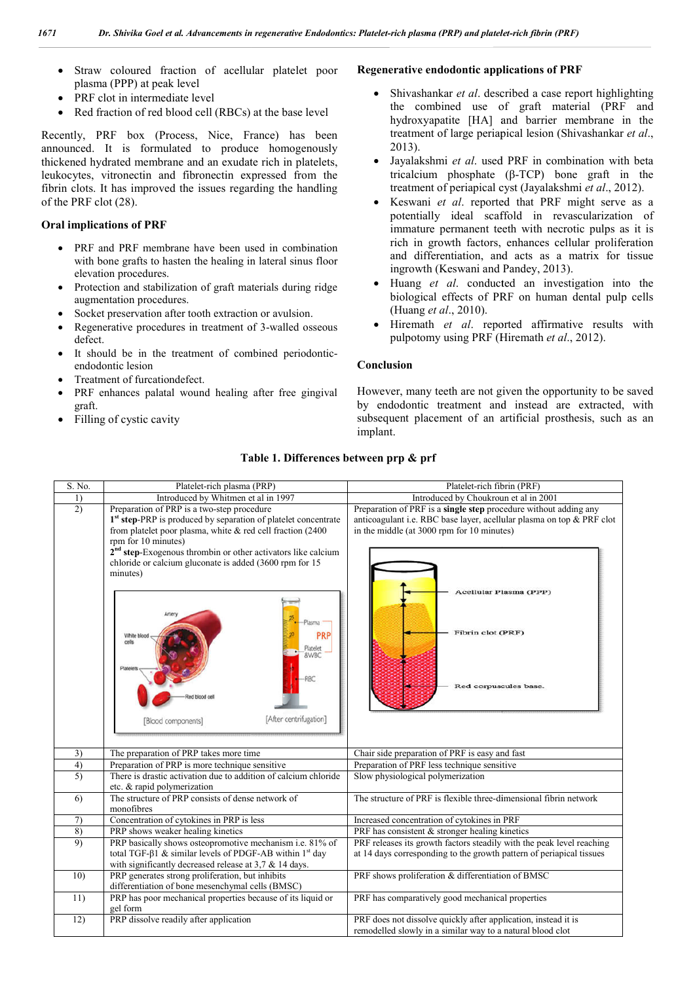- Straw coloured fraction of acellular platelet poor plasma (PPP) at peak level
- PRF clot in intermediate level
- Red fraction of red blood cell (RBCs) at the base level

#### **Oral implications of PRF**

- with bone grafts to hasten the healing in lateral sinus floor elevation procedures.
- Protection and stabilization of graft materials during ridge augmentation procedures.
- Socket preservation after tooth extraction or avulsion.
- Regenerative procedures in treatment of 3 3-walled osseous defect.
- It should be in the treatment of combined periodontic periodonticendodontic lesion
- Treatment of furcationdefect.
- PRF enhances palatal wound healing after free gingival graft.
- Filling of cystic cavity

#### **Regenerative endodontic applications of PRF applications of PRF**

- Shivashankar *et al*. described a case report highlighting the combined use of graft material (PRF and hydroxyapatite [HA] and barrier membrane in the hydroxyapatite [HA] and barrier membrane in the treatment of large periapical lesion (Shivashankar *et al.*, 2013).
- Jayalakshmi *et al*. used PRF in combination with beta Jayalakshmi *et al*. used PRF in combination with beta tricalcium phosphate (β-TCP) bone graft in the treatment of periapical cyst (Jayalakshmi et al., 2012).
- Keswani *et al*. reported that PRF might serve as a potentially ideal scaffold in revascularization of immature permanent teeth with necrotic pulps as it is rich in growth factors, enhances cellular proliferation and differentiation, and acts as a matrix for tissue ingrowth (Keswani and Pandey, 2013 Keswani *et al.* reported that PRF might serve as a potentially ideal scaffold in revascularization of immature permanent teeth with necrotic pulps as it is rich in growth factors, enhances cellular proliferation and diffe
- Huang *et al*. conducted an investigation into the biological effects of PRF on human dental pulp cells (Huang *et al*., 2010). conducted an investigation into<br>ts of PRF on human dental pulp<br>10.<br>*l.* reported affirmative results<br>*g* PRF (Hiremath *et al.*, 2012).
- Hiremath *et al*. reported affirmative results with pulpotomy using PRF (Hiremath et al., 2012).

#### **Conclusion**

However, many teeth are not given the opportunity to be saved by endodontic treatment and instead are extracted, with subsequent placement of an artificial prosthesis, such as an implant. and instead are extracted, with<br>
F an artificial prosthesis, such as an<br>
inch fibrin (PRF)

# **Table 1 1. Differences between prp & prf**

| 7                                                                              | Dr. Shivika Goel et al. Advancements in regenerative Endodontics: Platelet-rich plasma (PRP) and platelet-rich fibrin (PRF)                                                                                                                                                                                                                                                                                                                                                                                                                                                                                                                                                                                                                                                                                                                                                                                                                                                                                                                                                             |                                                                                                                                                                                                                                                                                                                                                                                                                                                                                                                                                                                                                                                                                                                                                                                                                                                                                                                                                                                                                                                                                                                                                                             |
|--------------------------------------------------------------------------------|-----------------------------------------------------------------------------------------------------------------------------------------------------------------------------------------------------------------------------------------------------------------------------------------------------------------------------------------------------------------------------------------------------------------------------------------------------------------------------------------------------------------------------------------------------------------------------------------------------------------------------------------------------------------------------------------------------------------------------------------------------------------------------------------------------------------------------------------------------------------------------------------------------------------------------------------------------------------------------------------------------------------------------------------------------------------------------------------|-----------------------------------------------------------------------------------------------------------------------------------------------------------------------------------------------------------------------------------------------------------------------------------------------------------------------------------------------------------------------------------------------------------------------------------------------------------------------------------------------------------------------------------------------------------------------------------------------------------------------------------------------------------------------------------------------------------------------------------------------------------------------------------------------------------------------------------------------------------------------------------------------------------------------------------------------------------------------------------------------------------------------------------------------------------------------------------------------------------------------------------------------------------------------------|
| $\bullet$<br>the PRF clot (28).<br>$\bullet$<br>defect.<br>$\bullet$<br>graft. | Straw coloured fraction of acellular platelet poor<br>plasma (PPP) at peak level<br>PRF clot in intermediate level<br>Red fraction of red blood cell (RBCs) at the base level<br>ecently, PRF box (Process, Nice, France) has been<br>nounced. It is formulated to produce homogenously<br>ickened hydrated membrane and an exudate rich in platelets,<br>akocytes, vitronectin and fibronectin expressed from the<br>brin clots. It has improved the issues regarding the handling<br>ral implications of PRF<br>PRF and PRF membrane have been used in combination<br>with bone grafts to hasten the healing in lateral sinus floor<br>elevation procedures.<br>Protection and stabilization of graft materials during ridge<br>augmentation procedures.<br>Socket preservation after tooth extraction or avulsion.<br>Regenerative procedures in treatment of 3-walled osseous<br>It should be in the treatment of combined periodontic-<br>endodontic lesion<br>Treatment of furcationdefect.<br>PRF enhances palatal wound healing after free gingival<br>Filling of cystic cavity | Regenerative endodontic applications of PRF<br>Shivashankar et al. described a case report highli<br>the combined use of graft material (PRI<br>hydroxyapatite [HA] and barrier membrane<br>treatment of large periapical lesion (Shivashankar<br>$2013$ ).<br>Jayalakshmi et al. used PRF in combination wit<br>$\bullet$<br>tricalcium phosphate $(\beta$ -TCP) bone graft i<br>treatment of periapical cyst (Jayalakshmi et al., 20<br>Keswani et al. reported that PRF might serve<br>potentially ideal scaffold in revascularization<br>immature permanent teeth with necrotic pulps a<br>rich in growth factors, enhances cellular prolife<br>and differentiation, and acts as a matrix for<br>ingrowth (Keswani and Pandey, 2013).<br>Huang et al. conducted an investigation in<br>٠<br>biological effects of PRF on human dental pulp<br>(Huang et al., 2010).<br>Hiremath et al. reported affirmative results<br>pulpotomy using PRF (Hiremath et al., 2012).<br>Conclusion<br>However, many teeth are not given the opportunity to be<br>by endodontic treatment and instead are extracted<br>subsequent placement of an artificial prosthesis, such<br>implant. |
|                                                                                | Table 1. Differences between prp & prf                                                                                                                                                                                                                                                                                                                                                                                                                                                                                                                                                                                                                                                                                                                                                                                                                                                                                                                                                                                                                                                  |                                                                                                                                                                                                                                                                                                                                                                                                                                                                                                                                                                                                                                                                                                                                                                                                                                                                                                                                                                                                                                                                                                                                                                             |
| S. No.                                                                         | Platelet-rich plasma (PRP)                                                                                                                                                                                                                                                                                                                                                                                                                                                                                                                                                                                                                                                                                                                                                                                                                                                                                                                                                                                                                                                              | Platelet-rich fibrin (PRF)                                                                                                                                                                                                                                                                                                                                                                                                                                                                                                                                                                                                                                                                                                                                                                                                                                                                                                                                                                                                                                                                                                                                                  |
| 1)                                                                             | Introduced by Whitmen et al in 1997                                                                                                                                                                                                                                                                                                                                                                                                                                                                                                                                                                                                                                                                                                                                                                                                                                                                                                                                                                                                                                                     | Introduced by Choukroun et al in 2001                                                                                                                                                                                                                                                                                                                                                                                                                                                                                                                                                                                                                                                                                                                                                                                                                                                                                                                                                                                                                                                                                                                                       |
| $\overline{2)}$                                                                | Preparation of PRP is a two-step procedure<br>1 <sup>st</sup> step-PRP is produced by separation of platelet concentrate<br>from platelet poor plasma, white $\&$ red cell fraction (2400<br>rpm for 10 minutes)<br>2 <sup>nd</sup> step-Exogenous thrombin or other activators like calcium<br>chloride or calcium gluconate is added (3600 rpm for 15<br>minutes)<br>Artery                                                                                                                                                                                                                                                                                                                                                                                                                                                                                                                                                                                                                                                                                                           | Preparation of PRF is a single step procedure without adding any<br>anticoagulant i.e. RBC base layer, acellular plasma on top & PRF clot<br>in the middle (at 3000 rpm for 10 minutes)<br>Acellular Plasma (PPP)                                                                                                                                                                                                                                                                                                                                                                                                                                                                                                                                                                                                                                                                                                                                                                                                                                                                                                                                                           |
|                                                                                | <b>Hasma</b><br>PRP<br>White bloo<br>cells<br>Platelet<br>&WBC<br>Platelet<br>RBC<br>blood cell<br>[After centrifugation]<br>[Blood components]                                                                                                                                                                                                                                                                                                                                                                                                                                                                                                                                                                                                                                                                                                                                                                                                                                                                                                                                         | Fibrin clot (PRF)<br>Red corpuscules base.                                                                                                                                                                                                                                                                                                                                                                                                                                                                                                                                                                                                                                                                                                                                                                                                                                                                                                                                                                                                                                                                                                                                  |
| 3)                                                                             | The preparation of PRP takes more time                                                                                                                                                                                                                                                                                                                                                                                                                                                                                                                                                                                                                                                                                                                                                                                                                                                                                                                                                                                                                                                  | Chair side preparation of PRF is easy and fast                                                                                                                                                                                                                                                                                                                                                                                                                                                                                                                                                                                                                                                                                                                                                                                                                                                                                                                                                                                                                                                                                                                              |
| 4)                                                                             | Preparation of PRP is more technique sensitive                                                                                                                                                                                                                                                                                                                                                                                                                                                                                                                                                                                                                                                                                                                                                                                                                                                                                                                                                                                                                                          | Preparation of PRF less technique sensitive                                                                                                                                                                                                                                                                                                                                                                                                                                                                                                                                                                                                                                                                                                                                                                                                                                                                                                                                                                                                                                                                                                                                 |
| 5)                                                                             | There is drastic activation due to addition of calcium chloride                                                                                                                                                                                                                                                                                                                                                                                                                                                                                                                                                                                                                                                                                                                                                                                                                                                                                                                                                                                                                         | Slow physiological polymerization                                                                                                                                                                                                                                                                                                                                                                                                                                                                                                                                                                                                                                                                                                                                                                                                                                                                                                                                                                                                                                                                                                                                           |
|                                                                                | etc. & rapid polymerization                                                                                                                                                                                                                                                                                                                                                                                                                                                                                                                                                                                                                                                                                                                                                                                                                                                                                                                                                                                                                                                             |                                                                                                                                                                                                                                                                                                                                                                                                                                                                                                                                                                                                                                                                                                                                                                                                                                                                                                                                                                                                                                                                                                                                                                             |
| 6)                                                                             | The structure of PRP consists of dense network of<br>monofibres                                                                                                                                                                                                                                                                                                                                                                                                                                                                                                                                                                                                                                                                                                                                                                                                                                                                                                                                                                                                                         | The structure of PRF is flexible three-dimensional fibrin network                                                                                                                                                                                                                                                                                                                                                                                                                                                                                                                                                                                                                                                                                                                                                                                                                                                                                                                                                                                                                                                                                                           |
| 7)                                                                             | Concentration of cytokines in PRP is less                                                                                                                                                                                                                                                                                                                                                                                                                                                                                                                                                                                                                                                                                                                                                                                                                                                                                                                                                                                                                                               | Increased concentration of cytokines in PRF                                                                                                                                                                                                                                                                                                                                                                                                                                                                                                                                                                                                                                                                                                                                                                                                                                                                                                                                                                                                                                                                                                                                 |
| 8)                                                                             | PRP shows weaker healing kinetics                                                                                                                                                                                                                                                                                                                                                                                                                                                                                                                                                                                                                                                                                                                                                                                                                                                                                                                                                                                                                                                       | PRF has consistent & stronger healing kinetics                                                                                                                                                                                                                                                                                                                                                                                                                                                                                                                                                                                                                                                                                                                                                                                                                                                                                                                                                                                                                                                                                                                              |
| 9)                                                                             | PRP basically shows osteopromotive mechanism i.e. 81% of<br>total TGF-β1 & similar levels of PDGF-AB within $1st$ day<br>with significantly decreased release at $3.7 \& 14$ days.                                                                                                                                                                                                                                                                                                                                                                                                                                                                                                                                                                                                                                                                                                                                                                                                                                                                                                      | PRF releases its growth factors steadily with the peak level reaching<br>at 14 days corresponding to the growth pattern of periapical tissues                                                                                                                                                                                                                                                                                                                                                                                                                                                                                                                                                                                                                                                                                                                                                                                                                                                                                                                                                                                                                               |
| 10)                                                                            | PRP generates strong proliferation, but inhibits<br>differentiation of bone mesenchymal cells (BMSC)                                                                                                                                                                                                                                                                                                                                                                                                                                                                                                                                                                                                                                                                                                                                                                                                                                                                                                                                                                                    | PRF shows proliferation & differentiation of BMSC                                                                                                                                                                                                                                                                                                                                                                                                                                                                                                                                                                                                                                                                                                                                                                                                                                                                                                                                                                                                                                                                                                                           |
| 11)                                                                            | PRP has poor mechanical properties because of its liquid or                                                                                                                                                                                                                                                                                                                                                                                                                                                                                                                                                                                                                                                                                                                                                                                                                                                                                                                                                                                                                             | PRF has comparatively good mechanical properties                                                                                                                                                                                                                                                                                                                                                                                                                                                                                                                                                                                                                                                                                                                                                                                                                                                                                                                                                                                                                                                                                                                            |
| 12)                                                                            | gel form<br>PRP dissolve readily after application                                                                                                                                                                                                                                                                                                                                                                                                                                                                                                                                                                                                                                                                                                                                                                                                                                                                                                                                                                                                                                      | PRF does not dissolve quickly after application, instead it is                                                                                                                                                                                                                                                                                                                                                                                                                                                                                                                                                                                                                                                                                                                                                                                                                                                                                                                                                                                                                                                                                                              |
|                                                                                |                                                                                                                                                                                                                                                                                                                                                                                                                                                                                                                                                                                                                                                                                                                                                                                                                                                                                                                                                                                                                                                                                         | remodelled slowly in a similar way to a natural blood clot                                                                                                                                                                                                                                                                                                                                                                                                                                                                                                                                                                                                                                                                                                                                                                                                                                                                                                                                                                                                                                                                                                                  |